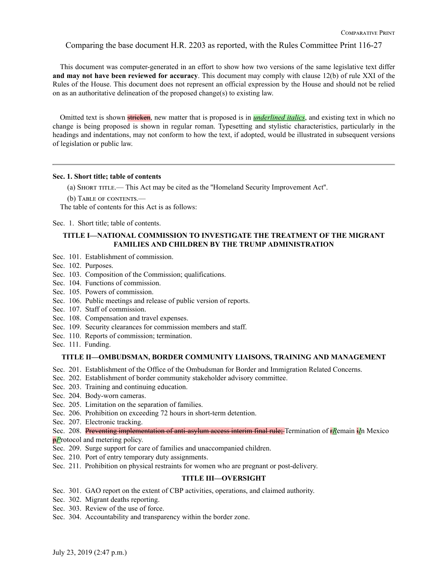Comparing the base document H.R. 2203 as reported, with the Rules Committee Print 116-27

This document was computer-generated in an effort to show how two versions of the same legislative text differ **and may not have been reviewed for accuracy**. This document may comply with clause 12(b) of rule XXI of the Rules of the House. This document does not represent an official expression by the House and should not be relied on as an authoritative delineation of the proposed change(s) to existing law.

Omitted text is shown stricken, new matter that is proposed is in *underlined italics*, and existing text in which no change is being proposed is shown in regular roman. Typesetting and stylistic characteristics, particularly in the headings and indentations, may not conform to how the text, if adopted, would be illustrated in subsequent versions of legislation or public law.

# **Sec. 1. Short title; table of contents**

(a) Short title.— This Act may be cited as the ''Homeland Security Improvement Act''.

(b) TABLE OF CONTENTS.

The table of contents for this Act is as follows:

Sec. 1. Short title; table of contents.

# **TITLE I—NATIONAL COMMISSION TO INVESTIGATE THE TREATMENT OF THE MIGRANT FAMILIES AND CHILDREN BY THE TRUMP ADMINISTRATION**

- Sec. 101. Establishment of commission.
- Sec. 102. Purposes.
- Sec. 103. Composition of the Commission; qualifications.
- Sec. 104. Functions of commission.
- Sec. 105. Powers of commission.
- Sec. 106. Public meetings and release of public version of reports.
- Sec. 107. Staff of commission.
- Sec. 108. Compensation and travel expenses.
- Sec. 109. Security clearances for commission members and staff.
- Sec. 110. Reports of commission; termination.
- Sec. 111. Funding.

#### **TITLE II—OMBUDSMAN, BORDER COMMUNITY LIAISONS, TRAINING AND MANAGEMENT**

- Sec. 201. Establishment of the Office of the Ombudsman for Border and Immigration Related Concerns.
- Sec. 202. Establishment of border community stakeholder advisory committee.
- Sec. 203. Training and continuing education.
- Sec. 204. Body-worn cameras.
- Sec. 205. Limitation on the separation of families.
- Sec. 206. Prohibition on exceeding 72 hours in short-term detention.
- Sec. 207. Electronic tracking.
- Sec. 208. Preventing implementation of anti-asylum access interim final rule; Termination of r*R*emain i*I*n Mexico

*pP*rotocol and metering policy.

- Sec. 209. Surge support for care of families and unaccompanied children.
- Sec. 210. Port of entry temporary duty assignments.
- Sec. 211. Prohibition on physical restraints for women who are pregnant or post-delivery.

# **TITLE III—OVERSIGHT**

- Sec. 301. GAO report on the extent of CBP activities, operations, and claimed authority.
- Sec. 302. Migrant deaths reporting.
- Sec. 303. Review of the use of force.
- Sec. 304. Accountability and transparency within the border zone.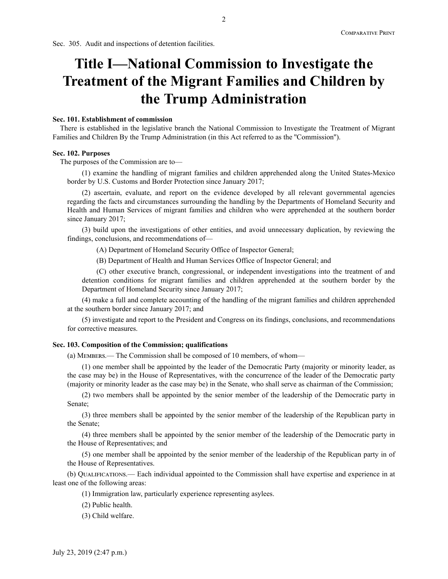Sec. 305. Audit and inspections of detention facilities.

# **Title I—National Commission to Investigate the Treatment of the Migrant Families and Children by the Trump Administration**

#### **Sec. 101. Establishment of commission**

There is established in the legislative branch the National Commission to Investigate the Treatment of Migrant Families and Children By the Trump Administration (in this Act referred to as the ''Commission'').

#### **Sec. 102. Purposes**

The purposes of the Commission are to—

(1) examine the handling of migrant families and children apprehended along the United States-Mexico border by U.S. Customs and Border Protection since January 2017;

(2) ascertain, evaluate, and report on the evidence developed by all relevant governmental agencies regarding the facts and circumstances surrounding the handling by the Departments of Homeland Security and Health and Human Services of migrant families and children who were apprehended at the southern border since January 2017;

(3) build upon the investigations of other entities, and avoid unnecessary duplication, by reviewing the findings, conclusions, and recommendations of—

(A) Department of Homeland Security Office of Inspector General;

(B) Department of Health and Human Services Office of Inspector General; and

(C) other executive branch, congressional, or independent investigations into the treatment of and detention conditions for migrant families and children apprehended at the southern border by the Department of Homeland Security since January 2017;

(4) make a full and complete accounting of the handling of the migrant families and children apprehended at the southern border since January 2017; and

(5) investigate and report to the President and Congress on its findings, conclusions, and recommendations for corrective measures.

#### **Sec. 103. Composition of the Commission; qualifications**

(a) Members.— The Commission shall be composed of 10 members, of whom—

(1) one member shall be appointed by the leader of the Democratic Party (majority or minority leader, as the case may be) in the House of Representatives, with the concurrence of the leader of the Democratic party (majority or minority leader as the case may be) in the Senate, who shall serve as chairman of the Commission;

(2) two members shall be appointed by the senior member of the leadership of the Democratic party in Senate;

(3) three members shall be appointed by the senior member of the leadership of the Republican party in the Senate;

(4) three members shall be appointed by the senior member of the leadership of the Democratic party in the House of Representatives; and

(5) one member shall be appointed by the senior member of the leadership of the Republican party in of the House of Representatives.

(b) Qualifications.— Each individual appointed to the Commission shall have expertise and experience in at least one of the following areas:

(1) Immigration law, particularly experience representing asylees.

(2) Public health.

(3) Child welfare.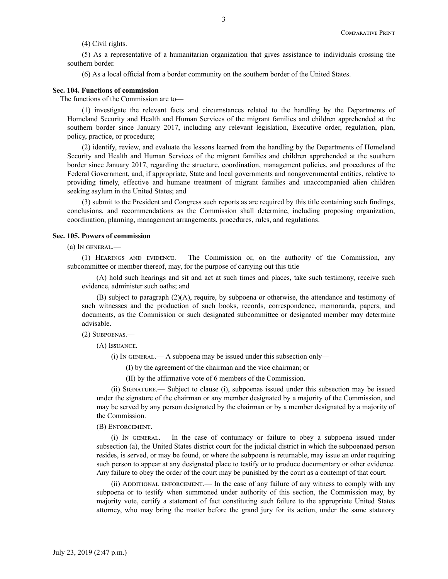(4) Civil rights.

(5) As a representative of a humanitarian organization that gives assistance to individuals crossing the southern border.

(6) As a local official from a border community on the southern border of the United States.

#### **Sec. 104. Functions of commission**

The functions of the Commission are to—

(1) investigate the relevant facts and circumstances related to the handling by the Departments of Homeland Security and Health and Human Services of the migrant families and children apprehended at the southern border since January 2017, including any relevant legislation, Executive order, regulation, plan, policy, practice, or procedure;

(2) identify, review, and evaluate the lessons learned from the handling by the Departments of Homeland Security and Health and Human Services of the migrant families and children apprehended at the southern border since January 2017, regarding the structure, coordination, management policies, and procedures of the Federal Government, and, if appropriate, State and local governments and nongovernmental entities, relative to providing timely, effective and humane treatment of migrant families and unaccompanied alien children seeking asylum in the United States; and

(3) submit to the President and Congress such reports as are required by this title containing such findings, conclusions, and recommendations as the Commission shall determine, including proposing organization, coordination, planning, management arrangements, procedures, rules, and regulations.

#### **Sec. 105. Powers of commission**

(a) In general.—

(1) Hearings and evidence.— The Commission or, on the authority of the Commission, any subcommittee or member thereof, may, for the purpose of carrying out this title—

(A) hold such hearings and sit and act at such times and places, take such testimony, receive such evidence, administer such oaths; and

(B) subject to paragraph (2)(A), require, by subpoena or otherwise, the attendance and testimony of such witnesses and the production of such books, records, correspondence, memoranda, papers, and documents, as the Commission or such designated subcommittee or designated member may determine advisable.

(2) Subpoenas.—

(A) Issuance.—

 $(i)$  In GENERAL.— A subpoena may be issued under this subsection only—

(I) by the agreement of the chairman and the vice chairman; or

(II) by the affirmative vote of 6 members of the Commission.

(ii) Signature.— Subject to clause (i), subpoenas issued under this subsection may be issued under the signature of the chairman or any member designated by a majority of the Commission, and may be served by any person designated by the chairman or by a member designated by a majority of the Commission.

## (B) Enforcement.—

(i) In general.— In the case of contumacy or failure to obey a subpoena issued under subsection (a), the United States district court for the judicial district in which the subpoenaed person resides, is served, or may be found, or where the subpoena is returnable, may issue an order requiring such person to appear at any designated place to testify or to produce documentary or other evidence. Any failure to obey the order of the court may be punished by the court as a contempt of that court.

 $(iii)$  ADDITIONAL ENFORCEMENT.— In the case of any failure of any witness to comply with any subpoena or to testify when summoned under authority of this section, the Commission may, by majority vote, certify a statement of fact constituting such failure to the appropriate United States attorney, who may bring the matter before the grand jury for its action, under the same statutory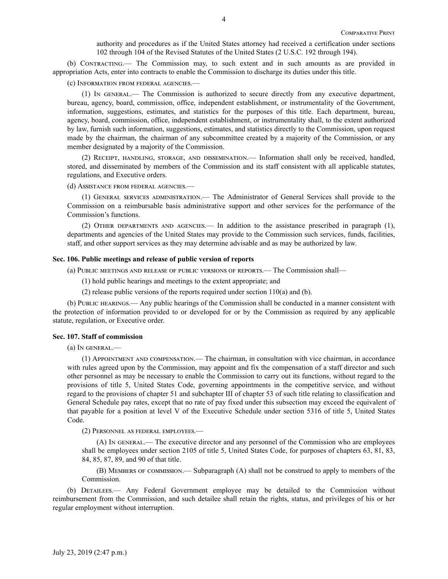authority and procedures as if the United States attorney had received a certification under sections 102 through 104 of the Revised Statutes of the United States (2 U.S.C. 192 through 194).

(b) Contracting.— The Commission may, to such extent and in such amounts as are provided in appropriation Acts, enter into contracts to enable the Commission to discharge its duties under this title.

(c) Information from federal agencies.—

(1) In general.— The Commission is authorized to secure directly from any executive department, bureau, agency, board, commission, office, independent establishment, or instrumentality of the Government, information, suggestions, estimates, and statistics for the purposes of this title. Each department, bureau, agency, board, commission, office, independent establishment, or instrumentality shall, to the extent authorized by law, furnish such information, suggestions, estimates, and statistics directly to the Commission, upon request made by the chairman, the chairman of any subcommittee created by a majority of the Commission, or any member designated by a majority of the Commission.

(2) Receipt, handling, storage, and dissemination.— Information shall only be received, handled, stored, and disseminated by members of the Commission and its staff consistent with all applicable statutes, regulations, and Executive orders.

(d) Assistance from federal agencies.—

(1) General services administration.— The Administrator of General Services shall provide to the Commission on a reimbursable basis administrative support and other services for the performance of the Commission's functions.

(2) Other departments and agencies.— In addition to the assistance prescribed in paragraph (1), departments and agencies of the United States may provide to the Commission such services, funds, facilities, staff, and other support services as they may determine advisable and as may be authorized by law.

## **Sec. 106. Public meetings and release of public version of reports**

(a) Public meetings and release of public versions of reports.— The Commission shall—

(1) hold public hearings and meetings to the extent appropriate; and

(2) release public versions of the reports required under section 110(a) and (b).

(b) Public hearings.— Any public hearings of the Commission shall be conducted in a manner consistent with the protection of information provided to or developed for or by the Commission as required by any applicable statute, regulation, or Executive order.

#### **Sec. 107. Staff of commission**

(a) In general.—

(1) Appointment and compensation.— The chairman, in consultation with vice chairman, in accordance with rules agreed upon by the Commission, may appoint and fix the compensation of a staff director and such other personnel as may be necessary to enable the Commission to carry out its functions, without regard to the provisions of title 5, United States Code, governing appointments in the competitive service, and without regard to the provisions of chapter 51 and subchapter III of chapter 53 of such title relating to classification and General Schedule pay rates, except that no rate of pay fixed under this subsection may exceed the equivalent of that payable for a position at level V of the Executive Schedule under section 5316 of title 5, United States Code.

(2) Personnel as federal employees.—

(A) In general.— The executive director and any personnel of the Commission who are employees shall be employees under section 2105 of title 5, United States Code, for purposes of chapters 63, 81, 83, 84, 85, 87, 89, and 90 of that title.

(B) Members of commission.— Subparagraph (A) shall not be construed to apply to members of the Commission.

(b) Detailees.— Any Federal Government employee may be detailed to the Commission without reimbursement from the Commission, and such detailee shall retain the rights, status, and privileges of his or her regular employment without interruption.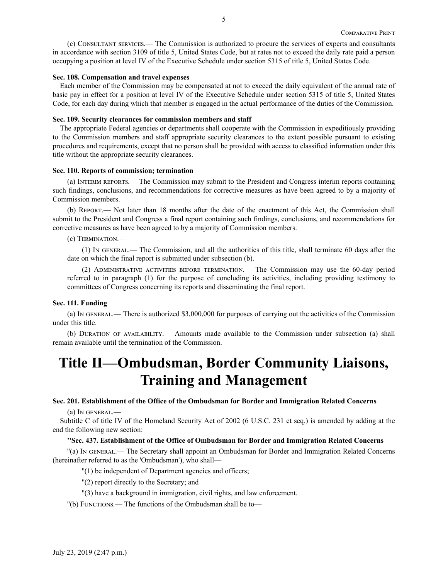(c) Consultant services.— The Commission is authorized to procure the services of experts and consultants in accordance with section 3109 of title 5, United States Code, but at rates not to exceed the daily rate paid a person occupying a position at level IV of the Executive Schedule under section 5315 of title 5, United States Code.

# **Sec. 108. Compensation and travel expenses**

Each member of the Commission may be compensated at not to exceed the daily equivalent of the annual rate of basic pay in effect for a position at level IV of the Executive Schedule under section 5315 of title 5, United States Code, for each day during which that member is engaged in the actual performance of the duties of the Commission.

### **Sec. 109. Security clearances for commission members and staff**

The appropriate Federal agencies or departments shall cooperate with the Commission in expeditiously providing to the Commission members and staff appropriate security clearances to the extent possible pursuant to existing procedures and requirements, except that no person shall be provided with access to classified information under this title without the appropriate security clearances.

#### **Sec. 110. Reports of commission; termination**

(a) Interim reports.— The Commission may submit to the President and Congress interim reports containing such findings, conclusions, and recommendations for corrective measures as have been agreed to by a majority of Commission members.

(b) Report.— Not later than 18 months after the date of the enactment of this Act, the Commission shall submit to the President and Congress a final report containing such findings, conclusions, and recommendations for corrective measures as have been agreed to by a majority of Commission members.

#### (c) Termination.—

(1) In general.— The Commission, and all the authorities of this title, shall terminate 60 days after the date on which the final report is submitted under subsection (b).

(2) Administrative activities before termination.— The Commission may use the 60-day period referred to in paragraph (1) for the purpose of concluding its activities, including providing testimony to committees of Congress concerning its reports and disseminating the final report.

#### **Sec. 111. Funding**

(a) In general.— There is authorized \$3,000,000 for purposes of carrying out the activities of the Commission under this title.

(b) Duration of availability.— Amounts made available to the Commission under subsection (a) shall remain available until the termination of the Commission.

# **Title II—Ombudsman, Border Community Liaisons, Training and Management**

#### **Sec. 201. Establishment of the Office of the Ombudsman for Border and Immigration Related Concerns**

(a) In general.—

Subtitle C of title IV of the Homeland Security Act of 2002 (6 U.S.C. 231 et seq.) is amended by adding at the end the following new section:

#### **''Sec. 437. Establishment of the Office of Ombudsman for Border and Immigration Related Concerns**

''(a) In general.— The Secretary shall appoint an Ombudsman for Border and Immigration Related Concerns (hereinafter referred to as the 'Ombudsman'), who shall—

''(1) be independent of Department agencies and officers;

- ''(2) report directly to the Secretary; and
- ''(3) have a background in immigration, civil rights, and law enforcement.
- ''(b) Functions.— The functions of the Ombudsman shall be to—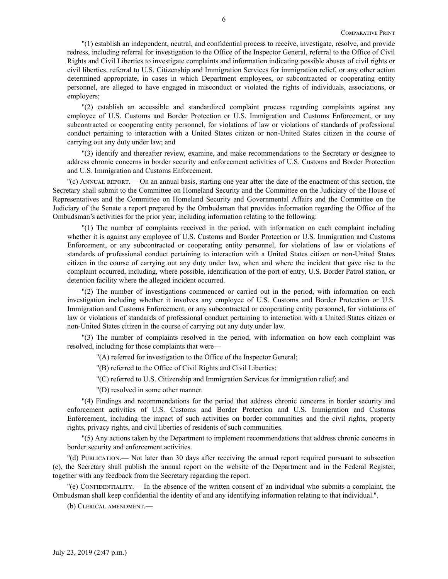''(1) establish an independent, neutral, and confidential process to receive, investigate, resolve, and provide redress, including referral for investigation to the Office of the Inspector General, referral to the Office of Civil Rights and Civil Liberties to investigate complaints and information indicating possible abuses of civil rights or civil liberties, referral to U.S. Citizenship and Immigration Services for immigration relief, or any other action determined appropriate, in cases in which Department employees, or subcontracted or cooperating entity personnel, are alleged to have engaged in misconduct or violated the rights of individuals, associations, or employers;

''(2) establish an accessible and standardized complaint process regarding complaints against any employee of U.S. Customs and Border Protection or U.S. Immigration and Customs Enforcement, or any subcontracted or cooperating entity personnel, for violations of law or violations of standards of professional conduct pertaining to interaction with a United States citizen or non-United States citizen in the course of carrying out any duty under law; and

''(3) identify and thereafter review, examine, and make recommendations to the Secretary or designee to address chronic concerns in border security and enforcement activities of U.S. Customs and Border Protection and U.S. Immigration and Customs Enforcement.

''(c) Annual report.— On an annual basis, starting one year after the date of the enactment of this section, the Secretary shall submit to the Committee on Homeland Security and the Committee on the Judiciary of the House of Representatives and the Committee on Homeland Security and Governmental Affairs and the Committee on the Judiciary of the Senate a report prepared by the Ombudsman that provides information regarding the Office of the Ombudsman's activities for the prior year, including information relating to the following:

''(1) The number of complaints received in the period, with information on each complaint including whether it is against any employee of U.S. Customs and Border Protection or U.S. Immigration and Customs Enforcement, or any subcontracted or cooperating entity personnel, for violations of law or violations of standards of professional conduct pertaining to interaction with a United States citizen or non-United States citizen in the course of carrying out any duty under law, when and where the incident that gave rise to the complaint occurred, including, where possible, identification of the port of entry, U.S. Border Patrol station, or detention facility where the alleged incident occurred.

''(2) The number of investigations commenced or carried out in the period, with information on each investigation including whether it involves any employee of U.S. Customs and Border Protection or U.S. Immigration and Customs Enforcement, or any subcontracted or cooperating entity personnel, for violations of law or violations of standards of professional conduct pertaining to interaction with a United States citizen or non-United States citizen in the course of carrying out any duty under law.

''(3) The number of complaints resolved in the period, with information on how each complaint was resolved, including for those complaints that were—

''(A) referred for investigation to the Office of the Inspector General;

''(B) referred to the Office of Civil Rights and Civil Liberties;

''(C) referred to U.S. Citizenship and Immigration Services for immigration relief; and

''(D) resolved in some other manner.

''(4) Findings and recommendations for the period that address chronic concerns in border security and enforcement activities of U.S. Customs and Border Protection and U.S. Immigration and Customs Enforcement, including the impact of such activities on border communities and the civil rights, property rights, privacy rights, and civil liberties of residents of such communities.

''(5) Any actions taken by the Department to implement recommendations that address chronic concerns in border security and enforcement activities.

''(d) Publication.— Not later than 30 days after receiving the annual report required pursuant to subsection (c), the Secretary shall publish the annual report on the website of the Department and in the Federal Register, together with any feedback from the Secretary regarding the report.

''(e) Confidentiality.— In the absence of the written consent of an individual who submits a complaint, the Ombudsman shall keep confidential the identity of and any identifying information relating to that individual.''.

(b) Clerical amendment.—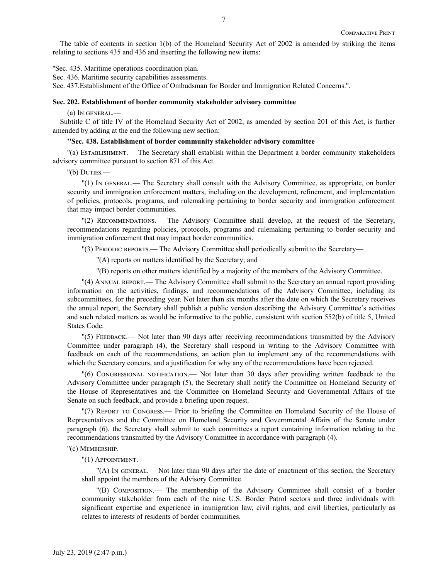The table of contents in section 1(b) of the Homeland Security Act of 2002 is amended by striking the items relating to sections 435 and 436 and inserting the following new items:

''Sec. 435. Maritime operations coordination plan.

Sec. 436. Maritime security capabilities assessments.

Sec. 437.Establishment of the Office of Ombudsman for Border and Immigration Related Concerns.''.

#### **Sec. 202. Establishment of border community stakeholder advisory committee**

(a) In general.—

Subtitle C of title IV of the Homeland Security Act of 2002, as amended by section 201 of this Act, is further amended by adding at the end the following new section:

#### **''Sec. 438. Establishment of border community stakeholder advisory committee**

''(a) Establishment.— The Secretary shall establish within the Department a border community stakeholders advisory committee pursuant to section 871 of this Act.

''(b) Duties.—

''(1) In general.— The Secretary shall consult with the Advisory Committee, as appropriate, on border security and immigration enforcement matters, including on the development, refinement, and implementation of policies, protocols, programs, and rulemaking pertaining to border security and immigration enforcement that may impact border communities.

''(2) Recommendations.— The Advisory Committee shall develop, at the request of the Secretary, recommendations regarding policies, protocols, programs and rulemaking pertaining to border security and immigration enforcement that may impact border communities.

''(3) Periodic reports.— The Advisory Committee shall periodically submit to the Secretary—

''(A) reports on matters identified by the Secretary; and

''(B) reports on other matters identified by a majority of the members of the Advisory Committee.

''(4) Annual report.— The Advisory Committee shall submit to the Secretary an annual report providing information on the activities, findings, and recommendations of the Advisory Committee, including its subcommittees, for the preceding year. Not later than six months after the date on which the Secretary receives the annual report, the Secretary shall publish a public version describing the Advisory Committee's activities and such related matters as would be informative to the public, consistent with section 552(b) of title 5, United States Code.

''(5) Feedback.— Not later than 90 days after receiving recommendations transmitted by the Advisory Committee under paragraph (4), the Secretary shall respond in writing to the Advisory Committee with feedback on each of the recommendations, an action plan to implement any of the recommendations with which the Secretary concurs, and a justification for why any of the recommendations have been rejected.

''(6) Congressional notification.— Not later than 30 days after providing written feedback to the Advisory Committee under paragraph (5), the Secretary shall notify the Committee on Homeland Security of the House of Representatives and the Committee on Homeland Security and Governmental Affairs of the Senate on such feedback, and provide a briefing upon request.

''(7) Report to Congress.— Prior to briefing the Committee on Homeland Security of the House of Representatives and the Committee on Homeland Security and Governmental Affairs of the Senate under paragraph (6), the Secretary shall submit to such committees a report containing information relating to the recommendations transmitted by the Advisory Committee in accordance with paragraph (4).

''(c) Membership.—

''(1) Appointment.—

''(A) In general.— Not later than 90 days after the date of enactment of this section, the Secretary shall appoint the members of the Advisory Committee.

''(B) Composition.— The membership of the Advisory Committee shall consist of a border community stakeholder from each of the nine U.S. Border Patrol sectors and three individuals with significant expertise and experience in immigration law, civil rights, and civil liberties, particularly as relates to interests of residents of border communities.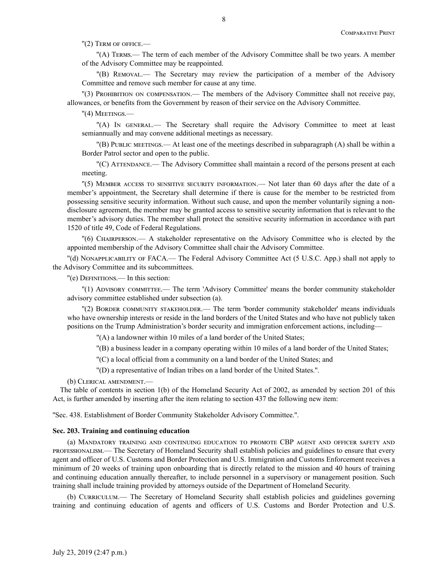''(2) Term of office.—

''(A) Terms.— The term of each member of the Advisory Committee shall be two years. A member of the Advisory Committee may be reappointed.

''(B) Removal.— The Secretary may review the participation of a member of the Advisory Committee and remove such member for cause at any time.

''(3) Prohibition on compensation.— The members of the Advisory Committee shall not receive pay, allowances, or benefits from the Government by reason of their service on the Advisory Committee.

''(4) Meetings.—

''(A) In general.— The Secretary shall require the Advisory Committee to meet at least semiannually and may convene additional meetings as necessary.

''(B) Public meetings.— At least one of the meetings described in subparagraph (A) shall be within a Border Patrol sector and open to the public.

''(C) Attendance.— The Advisory Committee shall maintain a record of the persons present at each meeting.

''(5) Member access to sensitive security information.— Not later than 60 days after the date of a member's appointment, the Secretary shall determine if there is cause for the member to be restricted from possessing sensitive security information. Without such cause, and upon the member voluntarily signing a nondisclosure agreement, the member may be granted access to sensitive security information that is relevant to the member's advisory duties. The member shall protect the sensitive security information in accordance with part 1520 of title 49, Code of Federal Regulations.

''(6) Chairperson.— A stakeholder representative on the Advisory Committee who is elected by the appointed membership of the Advisory Committee shall chair the Advisory Committee.

''(d) Nonapplicability of FACA.— The Federal Advisory Committee Act (5 U.S.C. App.) shall not apply to the Advisory Committee and its subcommittees.

''(e) Definitions.— In this section:

''(1) Advisory committee.— The term 'Advisory Committee' means the border community stakeholder advisory committee established under subsection (a).

"(2) BORDER COMMUNITY STAKEHOLDER. The term 'border community stakeholder' means individuals who have ownership interests or reside in the land borders of the United States and who have not publicly taken positions on the Trump Administration's border security and immigration enforcement actions, including—

''(A) a landowner within 10 miles of a land border of the United States;

''(B) a business leader in a company operating within 10 miles of a land border of the United States;

''(C) a local official from a community on a land border of the United States; and

''(D) a representative of Indian tribes on a land border of the United States.''.

(b) Clerical amendment.—

The table of contents in section 1(b) of the Homeland Security Act of 2002, as amended by section 201 of this Act, is further amended by inserting after the item relating to section 437 the following new item:

''Sec. 438. Establishment of Border Community Stakeholder Advisory Committee.''.

# **Sec. 203. Training and continuing education**

(a) Mandatory training and continuing education to promote CBP agent and officer safety and professionalism.— The Secretary of Homeland Security shall establish policies and guidelines to ensure that every agent and officer of U.S. Customs and Border Protection and U.S. Immigration and Customs Enforcement receives a minimum of 20 weeks of training upon onboarding that is directly related to the mission and 40 hours of training and continuing education annually thereafter, to include personnel in a supervisory or management position. Such training shall include training provided by attorneys outside of the Department of Homeland Security.

(b) CURRICULUM.— The Secretary of Homeland Security shall establish policies and guidelines governing training and continuing education of agents and officers of U.S. Customs and Border Protection and U.S.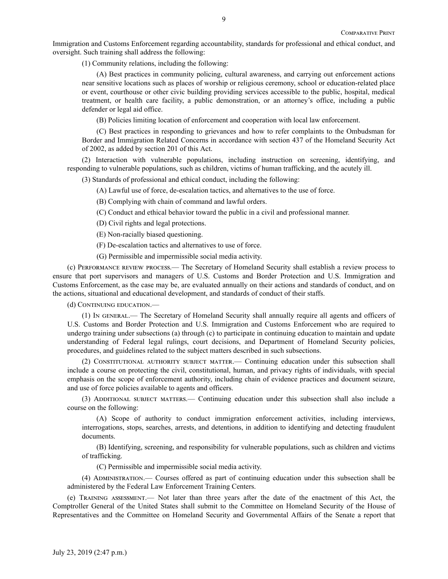Immigration and Customs Enforcement regarding accountability, standards for professional and ethical conduct, and oversight. Such training shall address the following:

(1) Community relations, including the following:

(A) Best practices in community policing, cultural awareness, and carrying out enforcement actions near sensitive locations such as places of worship or religious ceremony, school or education-related place or event, courthouse or other civic building providing services accessible to the public, hospital, medical treatment, or health care facility, a public demonstration, or an attorney's office, including a public defender or legal aid office.

(B) Policies limiting location of enforcement and cooperation with local law enforcement.

(C) Best practices in responding to grievances and how to refer complaints to the Ombudsman for Border and Immigration Related Concerns in accordance with section 437 of the Homeland Security Act of 2002, as added by section 201 of this Act.

(2) Interaction with vulnerable populations, including instruction on screening, identifying, and responding to vulnerable populations, such as children, victims of human trafficking, and the acutely ill.

(3) Standards of professional and ethical conduct, including the following:

(A) Lawful use of force, de-escalation tactics, and alternatives to the use of force.

(B) Complying with chain of command and lawful orders.

(C) Conduct and ethical behavior toward the public in a civil and professional manner.

(D) Civil rights and legal protections.

(E) Non-racially biased questioning.

(F) De-escalation tactics and alternatives to use of force.

(G) Permissible and impermissible social media activity.

(c) Performance review process.— The Secretary of Homeland Security shall establish a review process to ensure that port supervisors and managers of U.S. Customs and Border Protection and U.S. Immigration and Customs Enforcement, as the case may be, are evaluated annually on their actions and standards of conduct, and on the actions, situational and educational development, and standards of conduct of their staffs.

(d) CONTINUING EDUCATION.

(1) In general.— The Secretary of Homeland Security shall annually require all agents and officers of U.S. Customs and Border Protection and U.S. Immigration and Customs Enforcement who are required to undergo training under subsections (a) through (c) to participate in continuing education to maintain and update understanding of Federal legal rulings, court decisions, and Department of Homeland Security policies, procedures, and guidelines related to the subject matters described in such subsections.

(2) Constitutional authority subject matter.— Continuing education under this subsection shall include a course on protecting the civil, constitutional, human, and privacy rights of individuals, with special emphasis on the scope of enforcement authority, including chain of evidence practices and document seizure, and use of force policies available to agents and officers.

(3) Additional subject matters.— Continuing education under this subsection shall also include a course on the following:

(A) Scope of authority to conduct immigration enforcement activities, including interviews, interrogations, stops, searches, arrests, and detentions, in addition to identifying and detecting fraudulent documents.

(B) Identifying, screening, and responsibility for vulnerable populations, such as children and victims of trafficking.

(C) Permissible and impermissible social media activity.

(4) Administration.— Courses offered as part of continuing education under this subsection shall be administered by the Federal Law Enforcement Training Centers.

(e) Training assessment.— Not later than three years after the date of the enactment of this Act, the Comptroller General of the United States shall submit to the Committee on Homeland Security of the House of Representatives and the Committee on Homeland Security and Governmental Affairs of the Senate a report that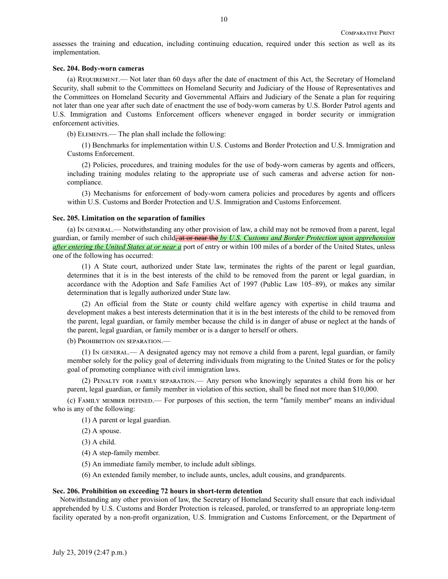assesses the training and education, including continuing education, required under this section as well as its implementation.

#### **Sec. 204. Body-worn cameras**

(a) Requirement.— Not later than 60 days after the date of enactment of this Act, the Secretary of Homeland Security, shall submit to the Committees on Homeland Security and Judiciary of the House of Representatives and the Committees on Homeland Security and Governmental Affairs and Judiciary of the Senate a plan for requiring not later than one year after such date of enactment the use of body-worn cameras by U.S. Border Patrol agents and U.S. Immigration and Customs Enforcement officers whenever engaged in border security or immigration enforcement activities.

(b) Elements.— The plan shall include the following:

(1) Benchmarks for implementation within U.S. Customs and Border Protection and U.S. Immigration and Customs Enforcement.

(2) Policies, procedures, and training modules for the use of body-worn cameras by agents and officers, including training modules relating to the appropriate use of such cameras and adverse action for noncompliance.

(3) Mechanisms for enforcement of body-worn camera policies and procedures by agents and officers within U.S. Customs and Border Protection and U.S. Immigration and Customs Enforcement.

#### **Sec. 205. Limitation on the separation of families**

(a) In general.— Notwithstanding any other provision of law, a child may not be removed from a parent, legal guardian, or family member of such child, at or near the *by U.S. Customs and Border Protection upon apprehension after entering the United States at or near a* port of entry or within 100 miles of a border of the United States, unless one of the following has occurred:

(1) A State court, authorized under State law, terminates the rights of the parent or legal guardian, determines that it is in the best interests of the child to be removed from the parent or legal guardian, in accordance with the Adoption and Safe Families Act of 1997 (Public Law 105–89), or makes any similar determination that is legally authorized under State law.

(2) An official from the State or county child welfare agency with expertise in child trauma and development makes a best interests determination that it is in the best interests of the child to be removed from the parent, legal guardian, or family member because the child is in danger of abuse or neglect at the hands of the parent, legal guardian, or family member or is a danger to herself or others.

(b) PROHIBITION ON SEPARATION.

(1) In general.— A designated agency may not remove a child from a parent, legal guardian, or family member solely for the policy goal of deterring individuals from migrating to the United States or for the policy goal of promoting compliance with civil immigration laws.

(2) Penalty for family separation.— Any person who knowingly separates a child from his or her parent, legal guardian, or family member in violation of this section, shall be fined not more than \$10,000.

(c) Family member defined.— For purposes of this section, the term ''family member'' means an individual who is any of the following:

(1) A parent or legal guardian.

(2) A spouse.

(3) A child.

(4) A step-family member.

(5) An immediate family member, to include adult siblings.

(6) An extended family member, to include aunts, uncles, adult cousins, and grandparents.

## **Sec. 206. Prohibition on exceeding 72 hours in short-term detention**

Notwithstanding any other provision of law, the Secretary of Homeland Security shall ensure that each individual apprehended by U.S. Customs and Border Protection is released, paroled, or transferred to an appropriate long-term facility operated by a non-profit organization, U.S. Immigration and Customs Enforcement, or the Department of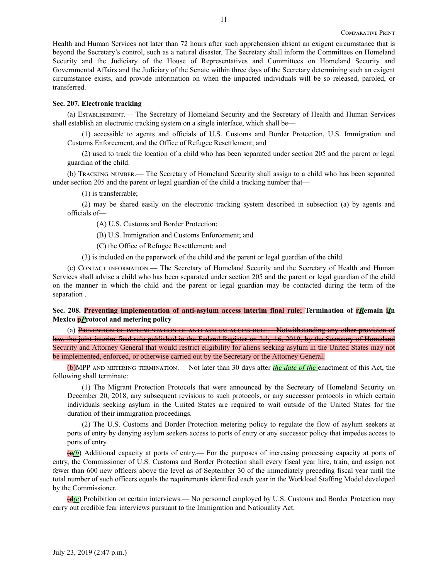Health and Human Services not later than 72 hours after such apprehension absent an exigent circumstance that is beyond the Secretary's control, such as a natural disaster. The Secretary shall inform the Committees on Homeland Security and the Judiciary of the House of Representatives and Committees on Homeland Security and Governmental Affairs and the Judiciary of the Senate within three days of the Secretary determining such an exigent circumstance exists, and provide information on when the impacted individuals will be so released, paroled, or transferred.

# **Sec. 207. Electronic tracking**

(a) Establishment.— The Secretary of Homeland Security and the Secretary of Health and Human Services shall establish an electronic tracking system on a single interface, which shall be—

(1) accessible to agents and officials of U.S. Customs and Border Protection, U.S. Immigration and Customs Enforcement, and the Office of Refugee Resettlement; and

(2) used to track the location of a child who has been separated under section 205 and the parent or legal guardian of the child.

(b) Tracking number.— The Secretary of Homeland Security shall assign to a child who has been separated under section 205 and the parent or legal guardian of the child a tracking number that—

(1) is transferrable;

(2) may be shared easily on the electronic tracking system described in subsection (a) by agents and officials of—

(A) U.S. Customs and Border Protection;

(B) U.S. Immigration and Customs Enforcement; and

(C) the Office of Refugee Resettlement; and

(3) is included on the paperwork of the child and the parent or legal guardian of the child.

(c) Contact information.— The Secretary of Homeland Security and the Secretary of Health and Human Services shall advise a child who has been separated under section 205 and the parent or legal guardian of the child on the manner in which the child and the parent or legal guardian may be contacted during the term of the separation .

**Sec. 208. Preventing implementation of anti-asylum access interim final rule; Termination of r***R***emain i***I***n Mexico p***P***rotocol and metering policy**

(a) PREVENTION OF IMPLEMENTATION OF ANTI-ASYLUM ACCESS RULE. Notwithstanding any other provision of law, the joint interim final rule published in the Federal Register on July 16, 2019, by the Secretary of Homeland Security and Attorney General that would restrict eligibility for aliens seeking asylum in the United States may not be implemented, enforced, or otherwise carried out by the Secretary or the Attorney General.

(b)MPP and metering termination.— Not later than 30 days after *the date of the* enactment of this Act, the following shall terminate:

(1) The Migrant Protection Protocols that were announced by the Secretary of Homeland Security on December 20, 2018, any subsequent revisions to such protocols, or any successor protocols in which certain individuals seeking asylum in the United States are required to wait outside of the United States for the duration of their immigration proceedings.

(2) The U.S. Customs and Border Protection metering policy to regulate the flow of asylum seekers at ports of entry by denying asylum seekers access to ports of entry or any successor policy that impedes access to ports of entry.

(c*(b*) Additional capacity at ports of entry.— For the purposes of increasing processing capacity at ports of entry, the Commissioner of U.S. Customs and Border Protection shall every fiscal year hire, train, and assign not fewer than 600 new officers above the level as of September 30 of the immediately preceding fiscal year until the total number of such officers equals the requirements identified each year in the Workload Staffing Model developed by the Commissioner.

(d*(c*) Prohibition on certain interviews.— No personnel employed by U.S. Customs and Border Protection may carry out credible fear interviews pursuant to the Immigration and Nationality Act.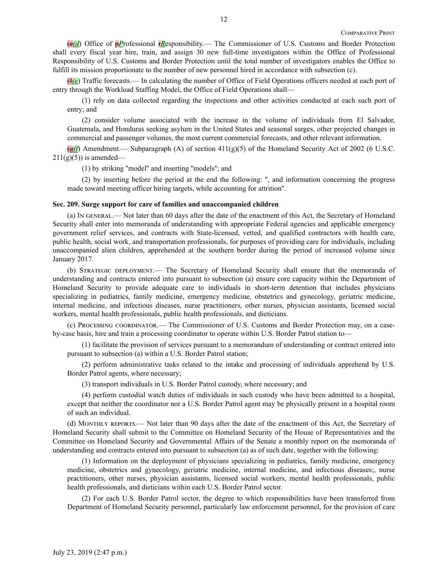(e*(d*) Office of p*P*rofessional r*R*esponsibility.— The Commissioner of U.S. Customs and Border Protection shall every fiscal year hire, train, and assign 30 new full-time investigators within the Office of Professional Responsibility of U.S. Customs and Border Protection until the total number of investigators enables the Office to fulfill its mission proportionate to the number of new personnel hired in accordance with subsection (c).

(f*(e*) Traffic forecasts.— In calculating the number of Office of Field Operations officers needed at each port of entry through the Workload Staffing Model, the Office of Field Operations shall—

(1) rely on data collected regarding the inspections and other activities conducted at each such port of entry; and

(2) consider volume associated with the increase in the volume of individuals from El Salvador, Guatemala, and Honduras seeking asylum in the United States and seasonal surges, other projected changes in commercial and passenger volumes, the most current commercial forecasts, and other relevant information.

(g*(f*) Amendment.— Subparagraph (A) of section 411(g)(5) of the Homeland Security Act of 2002 (6 U.S.C.  $211(g)(5)$ ) is amended—

(1) by striking ''model'' and inserting ''models''; and

(2) by inserting before the period at the end the following: '', and information concerning the progress made toward meeting officer hiring targets, while accounting for attrition''.

#### **Sec. 209. Surge support for care of families and unaccompanied children**

(a) In general.— Not later than 60 days after the date of the enactment of this Act, the Secretary of Homeland Security shall enter into memoranda of understanding with appropriate Federal agencies and applicable emergency government relief services, and contracts with State-licensed, vetted, and qualified contractors with health care, public health, social work, and transportation professionals, for purposes of providing care for individuals, including unaccompanied alien children, apprehended at the southern border during the period of increased volume since January 2017.

(b) Strategic deployment.— The Secretary of Homeland Security shall ensure that the memoranda of understanding and contracts entered into pursuant to subsection (a) ensure core capacity within the Department of Homeland Security to provide adequate care to individuals in short-term detention that includes physicians specializing in pediatrics, family medicine, emergency medicine, obstetrics and gynecology, geriatric medicine, internal medicine, and infectious diseases, nurse practitioners, other nurses, physician assistants, licensed social workers, mental health professionals, public health professionals, and dieticians.

(c) Processing coordinator.— The Commissioner of U.S. Customs and Border Protection may, on a caseby-case basis, hire and train a processing coordinator to operate within U.S. Border Patrol station to—

(1) facilitate the provision of services pursuant to a memorandum of understanding or contract entered into pursuant to subsection (a) within a U.S. Border Patrol station;

(2) perform administrative tasks related to the intake and processing of individuals apprehend by U.S. Border Patrol agents, where necessary;

(3) transport individuals in U.S. Border Patrol custody, where necessary; and

(4) perform custodial watch duties of individuals in such custody who have been admitted to a hospital, except that neither the coordinator nor a U.S. Border Patrol agent may be physically present in a hospital room of such an individual.

(d) Monthly reports.— Not later than 90 days after the date of the enactment of this Act, the Secretary of Homeland Security shall submit to the Committee on Homeland Security of the House of Representatives and the Committee on Homeland Security and Governmental Affairs of the Senate a monthly report on the memoranda of understanding and contracts entered into pursuant to subsection (a) as of such date, together with the following:

(1) Information on the deployment of physicians specializing in pediatrics, family medicine, emergency medicine, obstetrics and gynecology, geriatric medicine, internal medicine, and infectious diseases;, nurse practitioners, other nurses, physician assistants, licensed social workers, mental health professionals, public health professionals, and dieticians within each U.S. Border Patrol sector.

(2) For each U.S. Border Patrol sector, the degree to which responsibilities have been transferred from Department of Homeland Security personnel, particularly law enforcement personnel, for the provision of care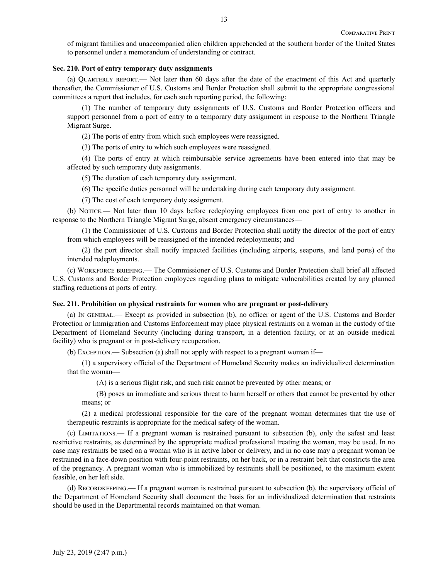of migrant families and unaccompanied alien children apprehended at the southern border of the United States to personnel under a memorandum of understanding or contract.

# **Sec. 210. Port of entry temporary duty assignments**

(a) Quarterly report.— Not later than 60 days after the date of the enactment of this Act and quarterly thereafter, the Commissioner of U.S. Customs and Border Protection shall submit to the appropriate congressional committees a report that includes, for each such reporting period, the following:

(1) The number of temporary duty assignments of U.S. Customs and Border Protection officers and support personnel from a port of entry to a temporary duty assignment in response to the Northern Triangle Migrant Surge.

(2) The ports of entry from which such employees were reassigned.

(3) The ports of entry to which such employees were reassigned.

(4) The ports of entry at which reimbursable service agreements have been entered into that may be affected by such temporary duty assignments.

(5) The duration of each temporary duty assignment.

(6) The specific duties personnel will be undertaking during each temporary duty assignment.

(7) The cost of each temporary duty assignment.

(b) Notice.— Not later than 10 days before redeploying employees from one port of entry to another in response to the Northern Triangle Migrant Surge, absent emergency circumstances—

(1) the Commissioner of U.S. Customs and Border Protection shall notify the director of the port of entry from which employees will be reassigned of the intended redeployments; and

(2) the port director shall notify impacted facilities (including airports, seaports, and land ports) of the intended redeployments.

(c) Workforce briefing.— The Commissioner of U.S. Customs and Border Protection shall brief all affected U.S. Customs and Border Protection employees regarding plans to mitigate vulnerabilities created by any planned staffing reductions at ports of entry.

#### **Sec. 211. Prohibition on physical restraints for women who are pregnant or post-delivery**

(a) In general.— Except as provided in subsection (b), no officer or agent of the U.S. Customs and Border Protection or Immigration and Customs Enforcement may place physical restraints on a woman in the custody of the Department of Homeland Security (including during transport, in a detention facility, or at an outside medical facility) who is pregnant or in post-delivery recuperation.

(b) Exception.— Subsection (a) shall not apply with respect to a pregnant woman if—

(1) a supervisory official of the Department of Homeland Security makes an individualized determination that the woman—

(A) is a serious flight risk, and such risk cannot be prevented by other means; or

(B) poses an immediate and serious threat to harm herself or others that cannot be prevented by other means; or

(2) a medical professional responsible for the care of the pregnant woman determines that the use of therapeutic restraints is appropriate for the medical safety of the woman.

(c) Limitations.— If a pregnant woman is restrained pursuant to subsection (b), only the safest and least restrictive restraints, as determined by the appropriate medical professional treating the woman, may be used. In no case may restraints be used on a woman who is in active labor or delivery, and in no case may a pregnant woman be restrained in a face-down position with four-point restraints, on her back, or in a restraint belt that constricts the area of the pregnancy. A pregnant woman who is immobilized by restraints shall be positioned, to the maximum extent feasible, on her left side.

(d) Recordkeeping.— If a pregnant woman is restrained pursuant to subsection (b), the supervisory official of the Department of Homeland Security shall document the basis for an individualized determination that restraints should be used in the Departmental records maintained on that woman.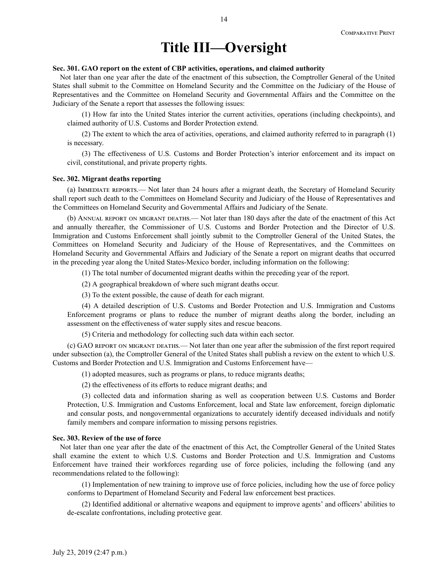# **Title III—Oversight**

#### **Sec. 301. GAO report on the extent of CBP activities, operations, and claimed authority**

Not later than one year after the date of the enactment of this subsection, the Comptroller General of the United States shall submit to the Committee on Homeland Security and the Committee on the Judiciary of the House of Representatives and the Committee on Homeland Security and Governmental Affairs and the Committee on the Judiciary of the Senate a report that assesses the following issues:

(1) How far into the United States interior the current activities, operations (including checkpoints), and claimed authority of U.S. Customs and Border Protection extend.

(2) The extent to which the area of activities, operations, and claimed authority referred to in paragraph (1) is necessary.

(3) The effectiveness of U.S. Customs and Border Protection's interior enforcement and its impact on civil, constitutional, and private property rights.

#### **Sec. 302. Migrant deaths reporting**

(a) Immediate reports.— Not later than 24 hours after a migrant death, the Secretary of Homeland Security shall report such death to the Committees on Homeland Security and Judiciary of the House of Representatives and the Committees on Homeland Security and Governmental Affairs and Judiciary of the Senate.

(b) ANNUAL REPORT ON MIGRANT DEATHS.— Not later than 180 days after the date of the enactment of this Act and annually thereafter, the Commissioner of U.S. Customs and Border Protection and the Director of U.S. Immigration and Customs Enforcement shall jointly submit to the Comptroller General of the United States, the Committees on Homeland Security and Judiciary of the House of Representatives, and the Committees on Homeland Security and Governmental Affairs and Judiciary of the Senate a report on migrant deaths that occurred in the preceding year along the United States-Mexico border, including information on the following:

(1) The total number of documented migrant deaths within the preceding year of the report.

(2) A geographical breakdown of where such migrant deaths occur.

(3) To the extent possible, the cause of death for each migrant.

(4) A detailed description of U.S. Customs and Border Protection and U.S. Immigration and Customs Enforcement programs or plans to reduce the number of migrant deaths along the border, including an assessment on the effectiveness of water supply sites and rescue beacons.

(5) Criteria and methodology for collecting such data within each sector.

(c) GAO report on migrant deaths.— Not later than one year after the submission of the first report required under subsection (a), the Comptroller General of the United States shall publish a review on the extent to which U.S. Customs and Border Protection and U.S. Immigration and Customs Enforcement have—

(1) adopted measures, such as programs or plans, to reduce migrants deaths;

(2) the effectiveness of its efforts to reduce migrant deaths; and

(3) collected data and information sharing as well as cooperation between U.S. Customs and Border Protection, U.S. Immigration and Customs Enforcement, local and State law enforcement, foreign diplomatic and consular posts, and nongovernmental organizations to accurately identify deceased individuals and notify family members and compare information to missing persons registries.

# **Sec. 303. Review of the use of force**

Not later than one year after the date of the enactment of this Act, the Comptroller General of the United States shall examine the extent to which U.S. Customs and Border Protection and U.S. Immigration and Customs Enforcement have trained their workforces regarding use of force policies, including the following (and any recommendations related to the following):

(1) Implementation of new training to improve use of force policies, including how the use of force policy conforms to Department of Homeland Security and Federal law enforcement best practices.

(2) Identified additional or alternative weapons and equipment to improve agents' and officers' abilities to de-escalate confrontations, including protective gear.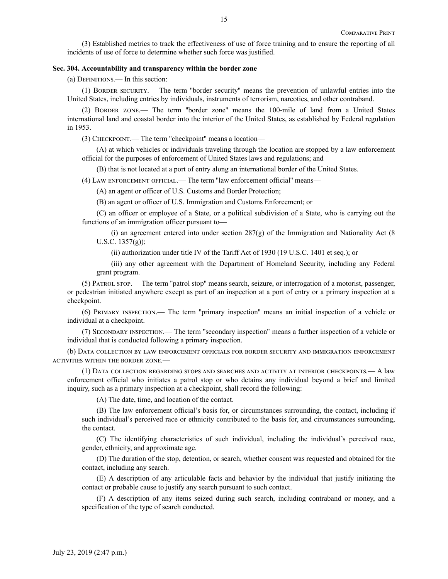(3) Established metrics to track the effectiveness of use of force training and to ensure the reporting of all incidents of use of force to determine whether such force was justified.

#### **Sec. 304. Accountability and transparency within the border zone**

(a) Definitions.— In this section:

(1) Border security.— The term ''border security'' means the prevention of unlawful entries into the United States, including entries by individuals, instruments of terrorism, narcotics, and other contraband.

(2) Border zone.— The term ''border zone'' means the 100-mile of land from a United States international land and coastal border into the interior of the United States, as established by Federal regulation in 1953.

(3) Checkpoint.— The term ''checkpoint'' means a location—

(A) at which vehicles or individuals traveling through the location are stopped by a law enforcement official for the purposes of enforcement of United States laws and regulations; and

(B) that is not located at a port of entry along an international border of the United States.

(4) Law enforcement official.— The term ''law enforcement official'' means—

(A) an agent or officer of U.S. Customs and Border Protection;

(B) an agent or officer of U.S. Immigration and Customs Enforcement; or

(C) an officer or employee of a State, or a political subdivision of a State, who is carrying out the functions of an immigration officer pursuant to—

(i) an agreement entered into under section  $287(g)$  of the Immigration and Nationality Act (8) U.S.C. 1357(g));

(ii) authorization under title IV of the Tariff Act of 1930 (19 U.S.C. 1401 et seq.); or

(iii) any other agreement with the Department of Homeland Security, including any Federal grant program.

(5) Patrol stop.— The term ''patrol stop'' means search, seizure, or interrogation of a motorist, passenger, or pedestrian initiated anywhere except as part of an inspection at a port of entry or a primary inspection at a checkpoint.

(6) Primary inspection.— The term ''primary inspection'' means an initial inspection of a vehicle or individual at a checkpoint.

(7) Secondary inspection.— The term ''secondary inspection'' means a further inspection of a vehicle or individual that is conducted following a primary inspection.

(b) Data collection by law enforcement officials for border security and immigration enforcement activities within the border zone.—

(1) Data collection regarding stops and searches and activity at interior checkpoints.— A law enforcement official who initiates a patrol stop or who detains any individual beyond a brief and limited inquiry, such as a primary inspection at a checkpoint, shall record the following:

(A) The date, time, and location of the contact.

(B) The law enforcement official's basis for, or circumstances surrounding, the contact, including if such individual's perceived race or ethnicity contributed to the basis for, and circumstances surrounding, the contact.

(C) The identifying characteristics of such individual, including the individual's perceived race, gender, ethnicity, and approximate age.

(D) The duration of the stop, detention, or search, whether consent was requested and obtained for the contact, including any search.

(E) A description of any articulable facts and behavior by the individual that justify initiating the contact or probable cause to justify any search pursuant to such contact.

(F) A description of any items seized during such search, including contraband or money, and a specification of the type of search conducted.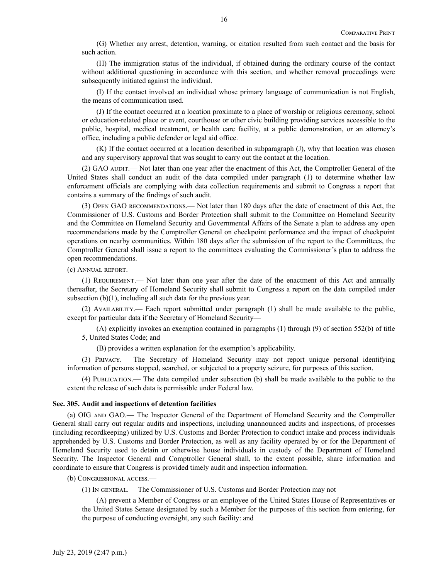(G) Whether any arrest, detention, warning, or citation resulted from such contact and the basis for such action.

(H) The immigration status of the individual, if obtained during the ordinary course of the contact without additional questioning in accordance with this section, and whether removal proceedings were subsequently initiated against the individual.

(I) If the contact involved an individual whose primary language of communication is not English, the means of communication used.

(J) If the contact occurred at a location proximate to a place of worship or religious ceremony, school or education-related place or event, courthouse or other civic building providing services accessible to the public, hospital, medical treatment, or health care facility, at a public demonstration, or an attorney's office, including a public defender or legal aid office.

(K) If the contact occurred at a location described in subparagraph (J), why that location was chosen and any supervisory approval that was sought to carry out the contact at the location.

(2) GAO AUDIT.— Not later than one year after the enactment of this Act, the Comptroller General of the United States shall conduct an audit of the data compiled under paragraph (1) to determine whether law enforcement officials are complying with data collection requirements and submit to Congress a report that contains a summary of the findings of such audit.

(3) Open GAO recommendations.— Not later than 180 days after the date of enactment of this Act, the Commissioner of U.S. Customs and Border Protection shall submit to the Committee on Homeland Security and the Committee on Homeland Security and Governmental Affairs of the Senate a plan to address any open recommendations made by the Comptroller General on checkpoint performance and the impact of checkpoint operations on nearby communities. Within 180 days after the submission of the report to the Committees, the Comptroller General shall issue a report to the committees evaluating the Commissioner's plan to address the open recommendations.

(c) Annual report.—

(1) Requirement.— Not later than one year after the date of the enactment of this Act and annually thereafter, the Secretary of Homeland Security shall submit to Congress a report on the data compiled under subsection (b)(1), including all such data for the previous year.

(2) Availability.— Each report submitted under paragraph (1) shall be made available to the public, except for particular data if the Secretary of Homeland Security—

(A) explicitly invokes an exemption contained in paragraphs (1) through (9) of section 552(b) of title 5, United States Code; and

(B) provides a written explanation for the exemption's applicability.

(3) Privacy.— The Secretary of Homeland Security may not report unique personal identifying information of persons stopped, searched, or subjected to a property seizure, for purposes of this section.

(4) Publication.— The data compiled under subsection (b) shall be made available to the public to the extent the release of such data is permissible under Federal law.

#### **Sec. 305. Audit and inspections of detention facilities**

(a) OIG AND GAO.— The Inspector General of the Department of Homeland Security and the Comptroller General shall carry out regular audits and inspections, including unannounced audits and inspections, of processes (including recordkeeping) utilized by U.S. Customs and Border Protection to conduct intake and process individuals apprehended by U.S. Customs and Border Protection, as well as any facility operated by or for the Department of Homeland Security used to detain or otherwise house individuals in custody of the Department of Homeland Security. The Inspector General and Comptroller General shall, to the extent possible, share information and coordinate to ensure that Congress is provided timely audit and inspection information.

(b) Congressional access.—

(1) In general.— The Commissioner of U.S. Customs and Border Protection may not—

(A) prevent a Member of Congress or an employee of the United States House of Representatives or the United States Senate designated by such a Member for the purposes of this section from entering, for the purpose of conducting oversight, any such facility: and